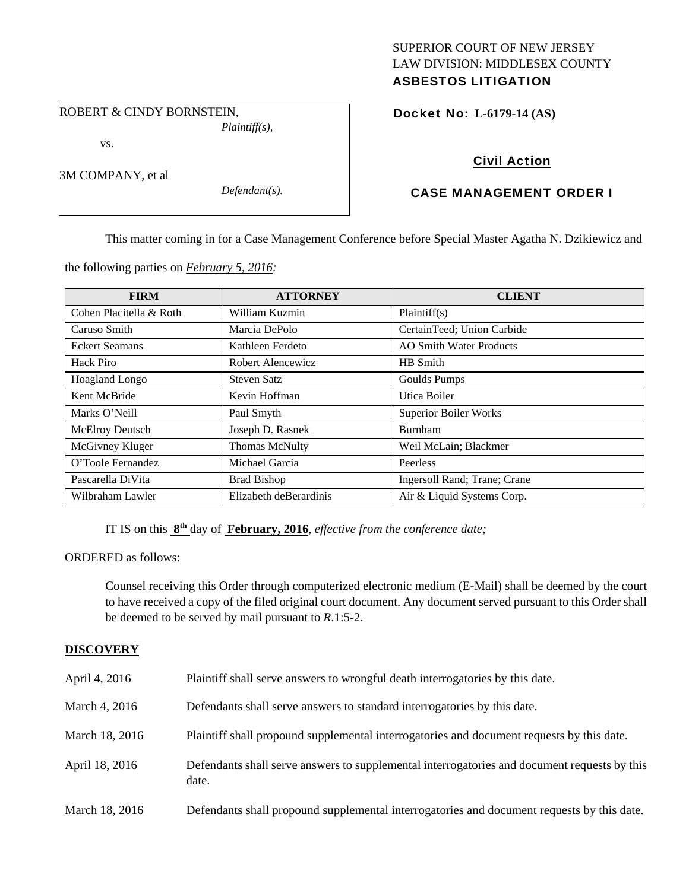## SUPERIOR COURT OF NEW JERSEY LAW DIVISION: MIDDLESEX COUNTY ASBESTOS LITIGATION

ROBERT & CINDY BORNSTEIN,

*Plaintiff(s),* 

vs.

3M COMPANY, et al

*Defendant(s).* 

Docket No: **L-6179-14 (AS)** 

# Civil Action

## CASE MANAGEMENT ORDER I

This matter coming in for a Case Management Conference before Special Master Agatha N. Dzikiewicz and

the following parties on *February 5, 2016:* 

| <b>FIRM</b>             | <b>ATTORNEY</b>        | <b>CLIENT</b>                  |
|-------------------------|------------------------|--------------------------------|
| Cohen Placitella & Roth | William Kuzmin         | Plaintiff(s)                   |
| Caruso Smith            | Marcia DePolo          | CertainTeed; Union Carbide     |
| <b>Eckert Seamans</b>   | Kathleen Ferdeto       | <b>AO Smith Water Products</b> |
| Hack Piro               | Robert Alencewicz      | <b>HB</b> Smith                |
| Hoagland Longo          | Steven Satz            | Goulds Pumps                   |
| Kent McBride            | Kevin Hoffman          | Utica Boiler                   |
| Marks O'Neill           | Paul Smyth             | <b>Superior Boiler Works</b>   |
| <b>McElroy Deutsch</b>  | Joseph D. Rasnek       | <b>Burnham</b>                 |
| McGivney Kluger         | <b>Thomas McNulty</b>  | Weil McLain; Blackmer          |
| O'Toole Fernandez       | Michael Garcia         | Peerless                       |
| Pascarella DiVita       | <b>Brad Bishop</b>     | Ingersoll Rand; Trane; Crane   |
| Wilbraham Lawler        | Elizabeth deBerardinis | Air & Liquid Systems Corp.     |

IT IS on this **8th** day of **February, 2016**, *effective from the conference date;*

ORDERED as follows:

Counsel receiving this Order through computerized electronic medium (E-Mail) shall be deemed by the court to have received a copy of the filed original court document. Any document served pursuant to this Order shall be deemed to be served by mail pursuant to *R*.1:5-2.

## **DISCOVERY**

| April 4, 2016  | Plaintiff shall serve answers to wrongful death interrogatories by this date.                         |
|----------------|-------------------------------------------------------------------------------------------------------|
| March 4, 2016  | Defendants shall serve answers to standard interrogatories by this date.                              |
| March 18, 2016 | Plaintiff shall propound supplemental interrogatories and document requests by this date.             |
| April 18, 2016 | Defendants shall serve answers to supplemental interrogatories and document requests by this<br>date. |
| March 18, 2016 | Defendants shall propound supplemental interrogatories and document requests by this date.            |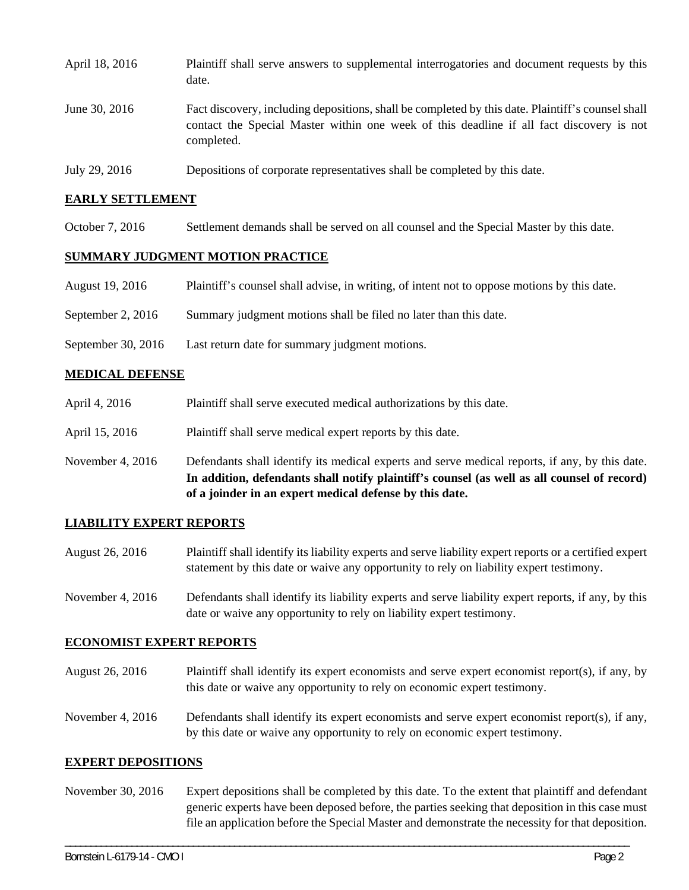| April 18, 2016 | Plaintiff shall serve answers to supplemental interrogatories and document requests by this<br>date.                                                                                                        |
|----------------|-------------------------------------------------------------------------------------------------------------------------------------------------------------------------------------------------------------|
| June 30, 2016  | Fact discovery, including depositions, shall be completed by this date. Plaintiff's counsel shall<br>contact the Special Master within one week of this deadline if all fact discovery is not<br>completed. |
| July 29, 2016  | Depositions of corporate representatives shall be completed by this date.                                                                                                                                   |

### **EARLY SETTLEMENT**

October 7, 2016 Settlement demands shall be served on all counsel and the Special Master by this date.

### **SUMMARY JUDGMENT MOTION PRACTICE**

- August 19, 2016 Plaintiff's counsel shall advise, in writing, of intent not to oppose motions by this date.
- September 2, 2016 Summary judgment motions shall be filed no later than this date.
- September 30, 2016 Last return date for summary judgment motions.

#### **MEDICAL DEFENSE**

- April 4, 2016 Plaintiff shall serve executed medical authorizations by this date.
- April 15, 2016 Plaintiff shall serve medical expert reports by this date.
- November 4, 2016 Defendants shall identify its medical experts and serve medical reports, if any, by this date. **In addition, defendants shall notify plaintiff's counsel (as well as all counsel of record) of a joinder in an expert medical defense by this date.**

#### **LIABILITY EXPERT REPORTS**

- August 26, 2016 Plaintiff shall identify its liability experts and serve liability expert reports or a certified expert statement by this date or waive any opportunity to rely on liability expert testimony.
- November 4, 2016 Defendants shall identify its liability experts and serve liability expert reports, if any, by this date or waive any opportunity to rely on liability expert testimony.

### **ECONOMIST EXPERT REPORTS**

- August 26, 2016 Plaintiff shall identify its expert economists and serve expert economist report(s), if any, by this date or waive any opportunity to rely on economic expert testimony.
- November 4, 2016 Defendants shall identify its expert economists and serve expert economist report(s), if any, by this date or waive any opportunity to rely on economic expert testimony.

#### **EXPERT DEPOSITIONS**

November 30, 2016 Expert depositions shall be completed by this date. To the extent that plaintiff and defendant generic experts have been deposed before, the parties seeking that deposition in this case must file an application before the Special Master and demonstrate the necessity for that deposition.

\_\_\_\_\_\_\_\_\_\_\_\_\_\_\_\_\_\_\_\_\_\_\_\_\_\_\_\_\_\_\_\_\_\_\_\_\_\_\_\_\_\_\_\_\_\_\_\_\_\_\_\_\_\_\_\_\_\_\_\_\_\_\_\_\_\_\_\_\_\_\_\_\_\_\_\_\_\_\_\_\_\_\_\_\_\_\_\_\_\_\_\_\_\_\_\_\_\_\_\_\_\_\_\_\_\_\_\_\_\_